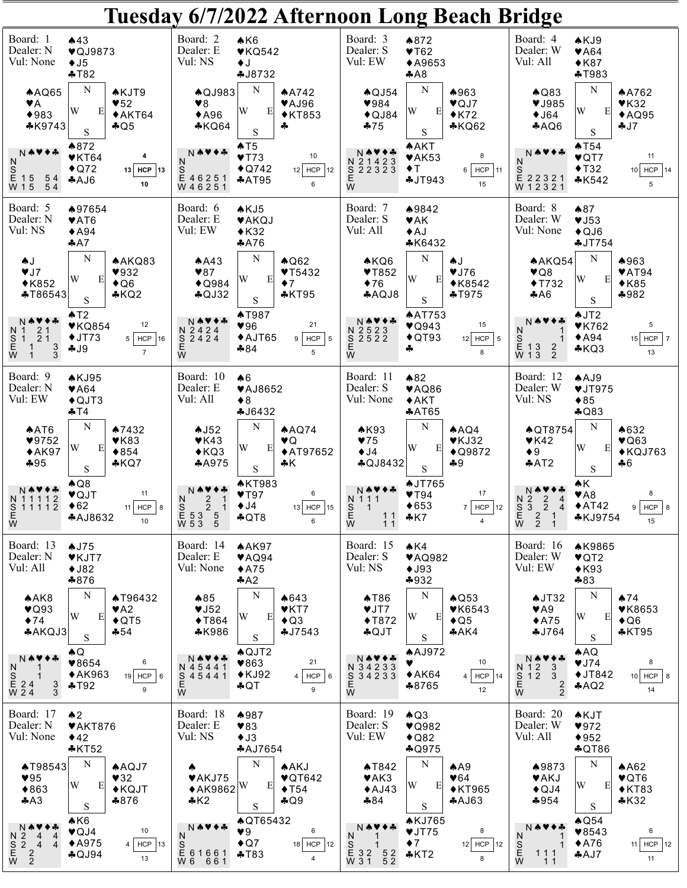## Tuesday 6/7/2022 Afternoon Long Beach Bridge

| Board: 1<br>Dealer: N<br>Vul: None                                                                        | $*43$<br>♥QJ9873<br>$\bigstar$ J5<br>$+T82$                                                               | Board: 2<br>Dealer: E<br>Vul: NS                                                                                              | AK6<br>$\blacktriangledown$ KQ542<br>$\bullet$<br><b>4J8732</b>                                          | Board: 3<br>Dealer: S<br>Vul: EW                                                                | $*872$<br>$\blacktriangledown$ T62<br>◆A9653<br>A8                        |                                                                        | Board: 4<br>Dealer: W<br>Vul: All                                                                                                 | AKJ9<br>$\blacktriangledown$ A64<br>$*K87$<br>$+T983$              |                                                        |
|-----------------------------------------------------------------------------------------------------------|-----------------------------------------------------------------------------------------------------------|-------------------------------------------------------------------------------------------------------------------------------|----------------------------------------------------------------------------------------------------------|-------------------------------------------------------------------------------------------------|---------------------------------------------------------------------------|------------------------------------------------------------------------|-----------------------------------------------------------------------------------------------------------------------------------|--------------------------------------------------------------------|--------------------------------------------------------|
| AQQ65<br>٧A<br>$*983$<br>$*K9743$                                                                         | N<br><b>AKJT9</b><br>$\blacktriangledown$ 52<br>W<br>E<br>$*AKT64$<br>$A$ Q5<br>$\mathbf S$               | <b>AQJ983</b><br>98<br>$*$ A96<br>$*KQ64$                                                                                     | N<br>A A742<br>♥AJ96<br>W<br>E<br>$*$ KT853<br>4<br>$\mathbf S$                                          | $\bigwedge$ QJ54<br>984<br>$\bigstar$ QJ84<br>$-75$                                             | N<br>W<br>Ε<br>S                                                          | ♦963<br>$\blacktriangledown$ QJ7<br>$*K72$<br>$*KQ62$                  | $\bigwedge$ Q83<br>♥J985<br>$\bigstar$ J64<br>AQQ6                                                                                | ${\bf N}$<br>W<br>E<br>$\mathbf S$                                 | <b>AA762</b><br>$V$ K32<br>AQQ95<br>4J7                |
| N₩♥◆∻<br>N<br>S<br>E 15<br>W 15<br>54<br>54                                                               | ♦872<br>$\blacktriangledown$ KT64<br>4<br>$\bigstar$ Q72<br>13 HCP<br> 13<br>A4A<br>10                    | N本♥◆ぷ<br>N.<br>S<br>E 46251<br>W 46251                                                                                        | AT5<br>10<br>YT73<br>$\bigstar$ Q742<br>12 HCP 12<br>AAT95<br>6                                          | N 21423<br>$S\overline{2}23\overline{2}3$<br>E<br>W                                             | <b>AAKT</b><br>$\blacktriangledown$ AK53<br>$\blacklozenge$ T<br>$+JT943$ | 8<br>$6$   HCP   11<br>15                                              | ₦₩♦<br>N                                                                                                                          | AT54<br>$\blacktriangledown$ QT7<br>$\blacklozenge$ T32<br>$*K542$ | 11<br>$10$ HCP $14$<br>5                               |
| Board: 5<br>Dealer: N<br>Vul: NS                                                                          | ♦97654<br><b>♥AT6</b><br>$*$ A94<br>$A^2A$                                                                | Board: 6<br>Dealer: E<br>Vul: EW                                                                                              | AKJ5<br><b>VAKQJ</b><br>$*K32$<br>A76                                                                    | Board: 7<br>Dealer: S<br>Vul: All                                                               | ♦9842<br><b>VAK</b><br>$+AJ$<br><b>*K6432</b>                             |                                                                        | Board: 8<br>Dealer: W<br>Vul: None                                                                                                | $*87$<br>VJ53<br>$\bigstar$ QJ6<br>JT754                           |                                                        |
| AJ<br>VJ7<br>$*K852$<br><b>*T86543</b>                                                                    | N<br>A KQ83<br>932<br>W<br>E<br>$\triangle$ Q6<br>KQ2<br>$\mathbf S$                                      | AA3<br>$*87$<br>$\triangle$ Q984<br>$A$ QJ32                                                                                  | $\mathbf N$<br>$\bigwedge$ Q62<br>YT5432<br>W<br>E<br>$\bullet$ 7<br>$*$ KT95<br>$\mathbf S$             | AKQ6<br>YT852<br>$\blacklozenge$ 76<br>AQQJ8                                                    | N<br>$\clubsuit$<br>W<br>Ε<br>$\mathbf S$                                 | VJ76<br>$*K8542$<br>$+T975$                                            | AAKQ54<br>$\vee$ Q8<br>$\blacklozenge$ T732<br>AA6                                                                                | N<br>W<br>E<br>$\mathbf S$                                         | ♠963<br>$\blacktriangledown$ AT94<br>$*K85$<br>$*982$  |
| Ⅳ ♠ ♥ ♦ ♣<br>N 1 2 1<br>S 1 2 1<br>E 1<br>W 1<br>$\frac{3}{3}$                                            | AT2<br>12<br>VKQ854<br>$+JT73$<br>5 <br>$HCP$ 16<br>$-19$<br>$\overline{7}$                               | NѦ♥♦品<br>N 2424<br>S 2424<br>Е<br>W                                                                                           | <b>AT987</b><br>21<br>96<br>$*$ AJT65<br>$9$ HCP $5$<br>$*84$<br>5                                       | N 2523<br>$S$ 2522<br>E<br>W                                                                    | <b>AAT753</b><br>$\blacktriangledown$ Q943<br>$\triangle$ QT93<br>♣       | 15<br>$12$ HCP $\frac{1}{5}$<br>8                                      | N本♥◆ふ<br>N<br>S<br>E 13<br>W 13<br>1<br>$\frac{2}{2}$                                                                             | AJT2<br>$V$ K762<br>$*$ A94<br>$*KQ3$                              | $5\phantom{.0}$<br>$15$ HCP $\vert$ 7<br>13            |
| Board: 9<br>Dealer: N<br>Vul: EW                                                                          | AKJ95<br>$\blacktriangledown$ A64<br>$\triangle$ QJT3<br>$+T4$                                            | Board: 10<br>Dealer: E<br>Vul: All                                                                                            | A6<br>♥AJ8652<br>$\triangle$ 8<br>4J6432                                                                 | Board: 11<br>Dealer: S<br>Vul: None                                                             | $*82$<br>$\blacktriangledown$ AQ86<br>AKT<br>AAT65                        |                                                                        | Board: 12<br>Dealer: W<br>Vul: NS                                                                                                 | $A$ AJ9<br>VJT975<br>$*85$<br>$A$ Q83                              |                                                        |
| AAT6<br>$\blacktriangledown$ 9752<br>$*AK97$<br>$*95$                                                     | N<br>$*7432$<br>VK83<br>W<br>E<br>$*854$<br>$*KQ7$<br>S                                                   | AJ52<br>$V$ K43<br>$*KQ3$<br>A4975                                                                                            | N<br>A AQ74<br>♥Q<br>W<br>Ε<br>◆AT97652<br>ቆΚ<br>S                                                       | AK93<br>75<br>$\blacklozenge$ J4<br>$A$ QJ8432                                                  | N<br>W<br>E<br>$+9$<br>$\mathbf S$                                        | $A\text{A}Q4$<br>$V$ KJ32<br>◆ $Q9872$                                 | <b>AQT8754</b><br>YK42<br>$\bullet$ 9<br>♣AT2                                                                                     | N<br>W<br>E<br>S                                                   | ▲632<br>$\blacktriangledown$ Q63<br>$*$ KQJ763<br>$+6$ |
| N 11112                                                                                                   | AQ8<br>11<br>♥QJT<br>$\triangle$ 62<br>HCP<br>11 <sup>1</sup><br><b>*AJ8632</b><br>10                     | N₩♥◆☆<br>2<br>N.<br>1<br>S<br>E<br>W<br>$\overline{2}$<br>$\overline{1}$<br>53<br>$\begin{array}{c} 5 \\ 5 \end{array}$<br>53 | <b>AKT983</b><br>6<br>$V$ T97<br>$\blacklozenge$ J4<br>$13$ HCP<br>15<br>$\clubsuit$ QT8<br>6            | Ⅳ ♠♥◆♣<br>N 1 1 1<br>$rac{S}{E}$<br>$\overline{1}$<br>11<br>W<br>11                             | <b>AJT765</b><br>$V$ T94<br>$\blacklozenge 653$<br>$*K7$                  | 17<br>HCP<br>12<br>7 <sup>1</sup><br>4                                 | N O<br>N <sub>2</sub><br>$\overline{c}$<br>$\mathbf{3}$<br>S<br>E<br>W<br>$\overline{2}$<br>$\overline{4}$<br>$\frac{2}{2}$<br>-1 | ₩K<br>$\blacktriangledown$ A8<br>$*AT42$<br><b>*KJ9754</b>         | 8<br>$9$ $HCP$<br>8<br>15                              |
| Board: 13<br>Dealer: N<br>Vul: All                                                                        | AJ75<br>♥KJT7<br>$+J82$<br>$*876$                                                                         | Board: 14<br>Dealer: E<br>Vul: None                                                                                           | <b>AAK97</b><br>$\blacktriangledown$ AQ94<br>$*$ A75<br>A2                                               | Board: 15<br>Dealer: S<br>Vul: NS                                                               | AK4<br>$\blacktriangledown$ AQ982<br>$\blacklozenge$ J93<br>$*932$        |                                                                        | Board: 16<br>Dealer: W<br>Vul: EW                                                                                                 | <b>AK9865</b><br>$\blacktriangledown$ QT2<br>$*K93$<br>$*83$       |                                                        |
| AAK8<br>$\blacktriangledown$ Q93<br>$\blacklozenge$ 74<br>*AKQJ3                                          | N<br><b>AT96432</b><br>$\blacktriangledown$ A2<br>W<br>E<br>$\triangle$ QT5<br>$-54$<br>$\mathbf S$       | $\clubsuit 85$<br>$\blacktriangledown$ J52<br>$\blacklozenge$ T864<br>$*K986$                                                 | N<br>$*643$<br>VKT<br>W<br>E<br>$\triangle$ Q3<br>4J7543<br>S                                            | AT86<br>VJT<br>$\blacklozenge$ T872<br>$A$ QJT                                                  | N<br>W<br>E<br>$\mathbf S$                                                | $\bigwedge$ Q53<br>$\blacktriangledown$ K6543<br>$\bigstar$ Q5<br>AAK4 | $\triangle$ JT32<br>$\blacktriangledown$ A9<br>$*$ A75<br>4J764                                                                   | N<br>W<br>E<br>S                                                   | A74<br><b>♥K8653</b><br>$\bigstar$ Q6<br>$*$ KT95      |
| N₩♥◆∻<br>N<br>S<br>E 2 4<br>W 2 4<br>$\frac{3}{3}$                                                        | ♠Q<br>6<br>♥8654<br>$*AK963$<br>$19$ HCP<br>6<br>$+T92$<br>9                                              | N ♠♥✦♣<br>N 45441<br>S<br>45441<br>Ε<br>W                                                                                     | $A$ QJT2<br>21<br>♥863<br>$\blacklozenge$ KJ92<br>$4$ HCP $6$<br>$\clubsuit$ QT<br>9                     | N₩♥◆♣<br>N 34233<br>$3\overline{4}$ $\overline{2}$ $\overline{3}$ $\overline{3}$<br>S<br>E<br>W | <b>AAJ972</b><br>v<br>$*AK64$<br>♣8765                                    | 10<br>HCP<br>4<br>14<br>12                                             | N ®<br>$\begin{array}{c} \n 112 \\  512 \\  6\n \end{array}$<br>3<br>3<br>$\frac{2}{2}$                                           | AAG<br>VJ74<br>$\blacklozenge$ JT842<br>AQQ                        | 8<br>$10$ HCP $8$<br>14                                |
| Board: 17<br>Dealer: N<br>Vul: None                                                                       | $\spadesuit$<br>$\blacktriangledown$ AKT876<br>$*42$<br>$*$ KT52                                          | Board: 18<br>Dealer: E<br>Vul: NS                                                                                             | $*987$<br>$*83$<br>$\triangleleft$ J3<br><b>*AJ7654</b>                                                  | Board: 19<br>Dealer: S<br>Vul: EW                                                               | AQ3<br>$\blacktriangledown$ Q982<br>$\bigstar$ Q82<br>$A$ Q975            |                                                                        | Board: 20<br>Dealer: W<br>Vul: All                                                                                                | <b>AKJT</b><br>972<br>$*952$<br>$\clubsuit$ QT86                   |                                                        |
| <b>AT98543</b><br>$\blacktriangledown$ 95<br>$*863$<br>AA3                                                | N<br><b>AAQJ7</b><br>432<br>W<br>E<br>$\blacklozenge$ KQJT<br>$*876$<br>S                                 | <b>♥AKJ75</b><br>$*$ AK9862 $ W$<br>A K2                                                                                      | N<br><b>AAKJ</b><br>$\blacktriangledown$ QT642<br>E<br>$\blacklozenge$ T54<br>$A$ Q9<br>S                | <b>AT842</b><br>$\blacktriangledown$ AK3<br>AJ43<br>$*84$                                       | N<br>W<br>E<br>S                                                          | AA9<br>$\Psi$ 64<br>$\blacklozenge$ KT965<br>AAJ63                     | ♠9873<br><b>VAKJ</b><br>$\triangle$ QJ4<br>$*954$                                                                                 | N<br>W<br>E<br>$\mathbf S$                                         | AA62<br>♥QT6<br>$*$ KT83<br>$*K32$                     |
| $\begin{array}{c}\nN \blacktriangle \blacktriangleright \\ N 2 \\ S 2 \\ E\n\end{array}$<br>$\frac{4}{4}$ | AK6<br>10<br>$\blacktriangledown$ QJ4<br>$*$ A975<br><b>HCP</b><br>13<br>$\overline{4}$<br>$A$ QJ94<br>13 | N₩₩◆<br>N.<br>S<br>E 6 1 6 6 1<br>W 6 6 6 1                                                                                   | <b>AQT65432</b><br>6<br>$\blacktriangledown 9$<br>$\bigstar$ Q7<br>18 HCP 12<br>$+T83$<br>$\overline{4}$ | NAV<br>N<br>S<br>E 32<br>W 31<br>$\begin{smallmatrix}5&2\5&2\end{smallmatrix}$                  | <b>AKJ765</b><br>VJT75<br>$\blacklozenge$ 7<br>$*$ KT2                    | 8<br>$12$ HCP<br>12<br>8                                               | N<br>-1<br>S<br>E<br>W<br>-1<br>111<br>11                                                                                         | $\triangle$ Q54<br>$*8543$<br>$*$ A76<br>$A$ AJ7                   | 6<br>11 HCP $ 12 $<br>11                               |